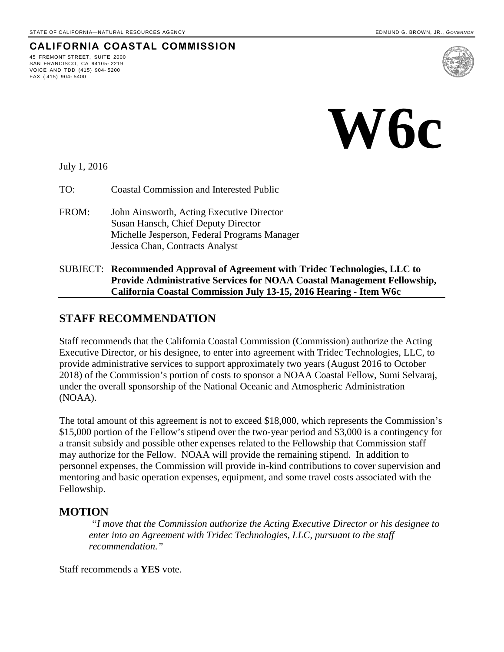# **CALIFORNIA COASTAL COMMISSION**

45 FREMONT STREET, SUITE 2000 SAN FRANCISCO, CA 94105- 2219 VOICE AND TDD (415) 904- 5200 FAX ( 415) 904- 5400



July 1, 2016

- TO: Coastal Commission and Interested Public
- FROM: John Ainsworth, Acting Executive Director Susan Hansch, Chief Deputy Director Michelle Jesperson, Federal Programs Manager Jessica Chan, Contracts Analyst
- SUBJECT: **Recommended Approval of Agreement with Tridec Technologies, LLC to Provide Administrative Services for NOAA Coastal Management Fellowship, California Coastal Commission July 13-15, 2016 Hearing - Item W6c**

### **STAFF RECOMMENDATION**

Staff recommends that the California Coastal Commission (Commission) authorize the Acting Executive Director, or his designee, to enter into agreement with Tridec Technologies, LLC, to provide administrative services to support approximately two years (August 2016 to October 2018) of the Commission's portion of costs to sponsor a NOAA Coastal Fellow, Sumi Selvaraj, under the overall sponsorship of the National Oceanic and Atmospheric Administration (NOAA).

The total amount of this agreement is not to exceed \$18,000, which represents the Commission's \$15,000 portion of the Fellow's stipend over the two-year period and \$3,000 is a contingency for a transit subsidy and possible other expenses related to the Fellowship that Commission staff may authorize for the Fellow. NOAA will provide the remaining stipend. In addition to personnel expenses, the Commission will provide in-kind contributions to cover supervision and mentoring and basic operation expenses, equipment, and some travel costs associated with the Fellowship.

#### **MOTION**

 *"I move that the Commission authorize the Acting Executive Director or his designee to enter into an Agreement with Tridec Technologies, LLC, pursuant to the staff recommendation."* 

Staff recommends a **YES** vote.